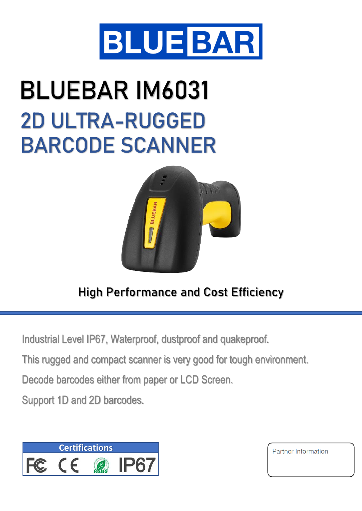

## **BLUEBAR IM6031 2D ULTRA-RUGGED BARCODE SCANNER**



## **High Performance and Cost Efficiency**

Industrial Level IP67, Waterproof, dustproof and quakeproof.

This rugged and compact scanner is very good for tough environment.

Decode barcodes either from paper or LCD Screen.

Support 1D and 2D barcodes.



Partner Information